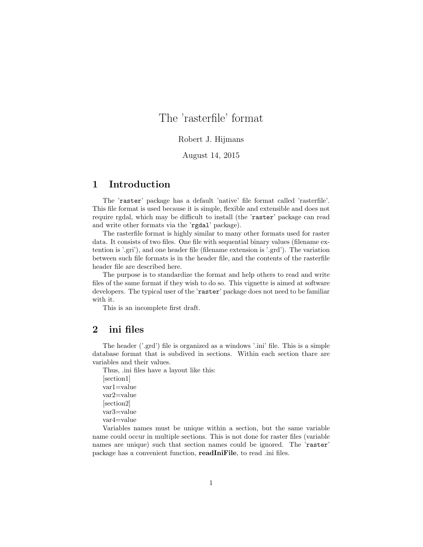# The 'rasterfile' format

#### Robert J. Hijmans

## August 14, 2015

# 1 Introduction

The 'raster' package has a default 'native' file format called 'rasterfile'. This file format is used because it is simple, flexible and extensible and does not require rgdal, which may be difficult to install (the 'raster' package can read and write other formats via the 'rgdal' package).

The rasterfile format is highly similar to many other formats used for raster data. It consists of two files. One file with sequential binary values (filename extention is '.gri'), and one header file (filename extension is '.grd'). The variation between such file formats is in the header file, and the contents of the rasterfile header file are described here.

The purpose is to standardize the format and help others to read and write files of the same format if they wish to do so. This vignette is aimed at software developers. The typical user of the 'raster' package does not need to be familiar with it.

This is an incomplete first draft.

# 2 ini files

The header ('.grd') file is organized as a windows '.ini' file. This is a simple database format that is subdived in sections. Within each section thare are variables and their values.

Thus, .ini files have a layout like this: [section1] var1=value var2=value [section2] var3=value var4=value

Variables names must be unique within a section, but the same variable name could occur in multiple sections. This is not done for raster files (variable names are unique) such that section names could be ignored. The 'raster' package has a convenient function, readIniFile, to read .ini files.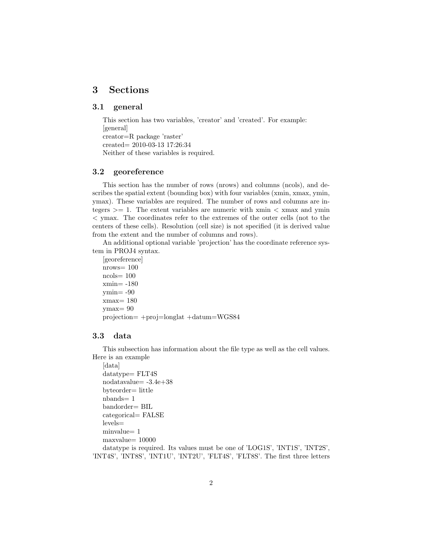# 3 Sections

## 3.1 general

This section has two variables, 'creator' and 'created'. For example: [general] creator=R package 'raster' created= 2010-03-13 17:26:34 Neither of these variables is required.

#### 3.2 georeference

This section has the number of rows (nrows) and columns (ncols), and describes the spatial extent (bounding box) with four variables (xmin, xmax, ymin, ymax). These variables are required. The number of rows and columns are integers  $\geq$  1. The extent variables are numeric with xmin  $\lt$  xmax and ymin < ymax. The coordinates refer to the extremes of the outer cells (not to the centers of these cells). Resolution (cell size) is not specified (it is derived value from the extent and the number of columns and rows).

An additional optional variable 'projection' has the coordinate reference system in PROJ4 syntax.

```
[georeference]
nrows= 100
ncols = 100xmin= -180
ymin= -90
xmax= 180
ymax= 90
projection= +proj=longlat +datum=WGS84
```
#### 3.3 data

This subsection has information about the file type as well as the cell values. Here is an example

```
[data]
datatype= FLT4S
nodatavalue= -3.4e+38
byteorder= little
nbands= 1
bandorder= BIL
categorical= FALSE
levels=
minvalue= 1
maxvalue= 10000
datatype is required. Its values must be one of 'LOG1S', 'INT1S', 'INT2S',
```